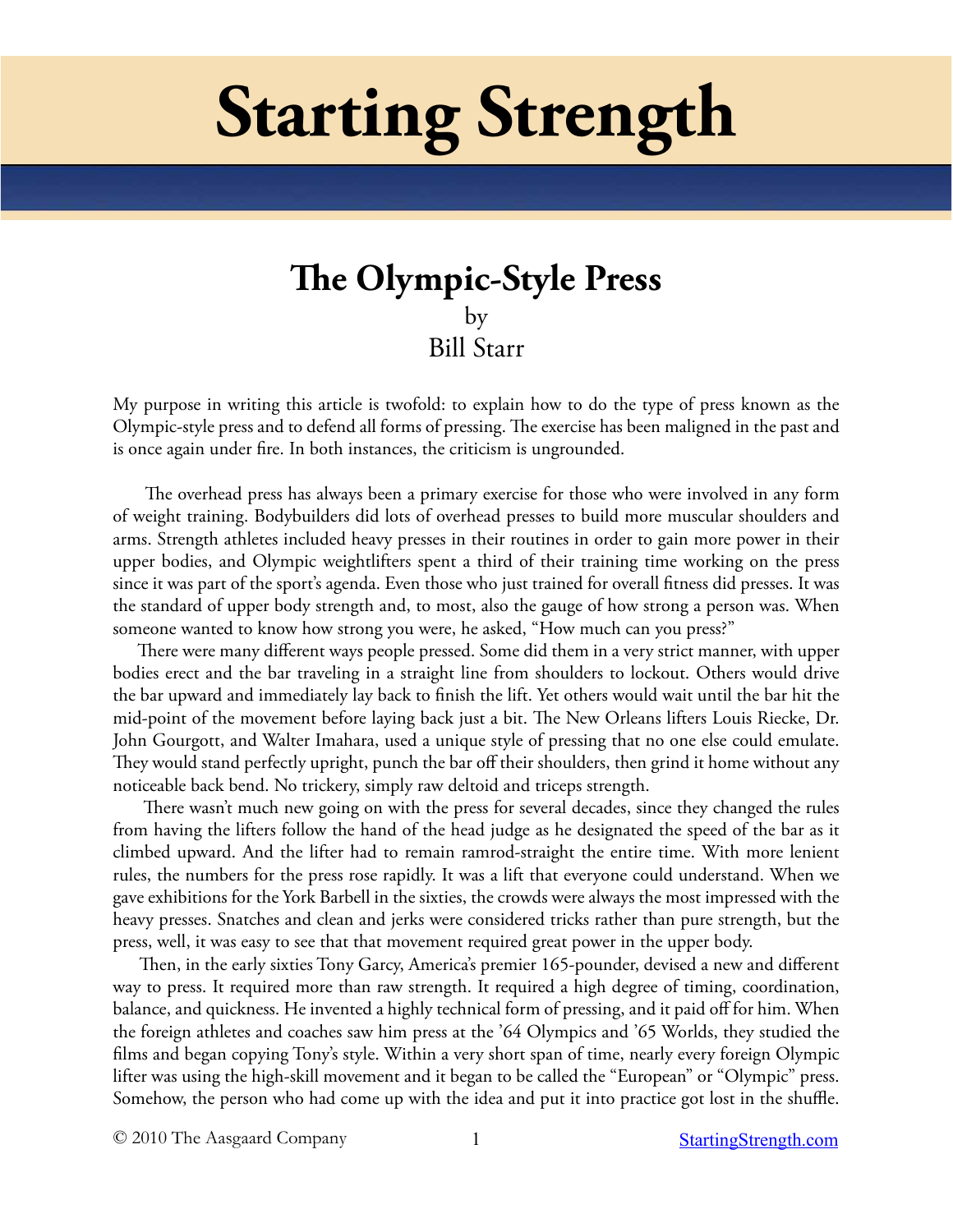# **Starting Strength**

# **The Olympic-Style Press** by Bill Starr

My purpose in writing this article is twofold: to explain how to do the type of press known as the Olympic-style press and to defend all forms of pressing. The exercise has been maligned in the past and is once again under fire. In both instances, the criticism is ungrounded.

 The overhead press has always been a primary exercise for those who were involved in any form of weight training. Bodybuilders did lots of overhead presses to build more muscular shoulders and arms. Strength athletes included heavy presses in their routines in order to gain more power in their upper bodies, and Olympic weightlifters spent a third of their training time working on the press since it was part of the sport's agenda. Even those who just trained for overall fitness did presses. It was the standard of upper body strength and, to most, also the gauge of how strong a person was. When someone wanted to know how strong you were, he asked, "How much can you press?"

 There were many different ways people pressed. Some did them in a very strict manner, with upper bodies erect and the bar traveling in a straight line from shoulders to lockout. Others would drive the bar upward and immediately lay back to finish the lift. Yet others would wait until the bar hit the mid-point of the movement before laying back just a bit. The New Orleans lifters Louis Riecke, Dr. John Gourgott, and Walter Imahara, used a unique style of pressing that no one else could emulate. They would stand perfectly upright, punch the bar off their shoulders, then grind it home without any noticeable back bend. No trickery, simply raw deltoid and triceps strength.

 There wasn't much new going on with the press for several decades, since they changed the rules from having the lifters follow the hand of the head judge as he designated the speed of the bar as it climbed upward. And the lifter had to remain ramrod-straight the entire time. With more lenient rules, the numbers for the press rose rapidly. It was a lift that everyone could understand. When we gave exhibitions for the York Barbell in the sixties, the crowds were always the most impressed with the heavy presses. Snatches and clean and jerks were considered tricks rather than pure strength, but the press, well, it was easy to see that that movement required great power in the upper body.

 Then, in the early sixties Tony Garcy, America's premier 165-pounder, devised a new and different way to press. It required more than raw strength. It required a high degree of timing, coordination, balance, and quickness. He invented a highly technical form of pressing, and it paid off for him. When the foreign athletes and coaches saw him press at the '64 Olympics and '65 Worlds, they studied the films and began copying Tony's style. Within a very short span of time, nearly every foreign Olympic lifter was using the high-skill movement and it began to be called the "European" or "Olympic" press. Somehow, the person who had come up with the idea and put it into practice got lost in the shuffle.

© 2010 The Aasgaard Company 1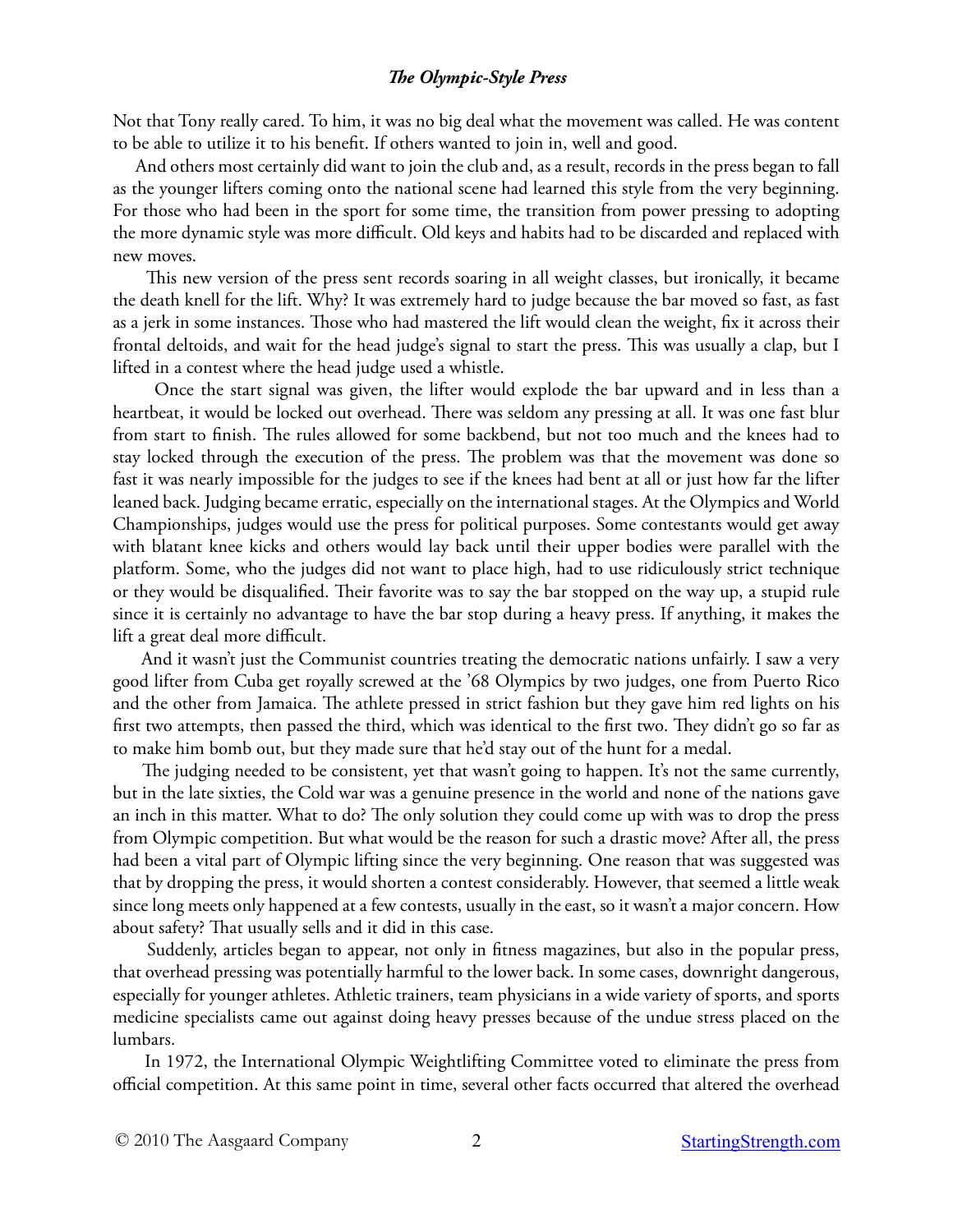Not that Tony really cared. To him, it was no big deal what the movement was called. He was content to be able to utilize it to his benefit. If others wanted to join in, well and good.

 And others most certainly did want to join the club and, as a result, records in the press began to fall as the younger lifters coming onto the national scene had learned this style from the very beginning. For those who had been in the sport for some time, the transition from power pressing to adopting the more dynamic style was more difficult. Old keys and habits had to be discarded and replaced with new moves.

 This new version of the press sent records soaring in all weight classes, but ironically, it became the death knell for the lift. Why? It was extremely hard to judge because the bar moved so fast, as fast as a jerk in some instances. Those who had mastered the lift would clean the weight, fix it across their frontal deltoids, and wait for the head judge's signal to start the press. This was usually a clap, but I lifted in a contest where the head judge used a whistle.

 Once the start signal was given, the lifter would explode the bar upward and in less than a heartbeat, it would be locked out overhead. There was seldom any pressing at all. It was one fast blur from start to finish. The rules allowed for some backbend, but not too much and the knees had to stay locked through the execution of the press. The problem was that the movement was done so fast it was nearly impossible for the judges to see if the knees had bent at all or just how far the lifter leaned back. Judging became erratic, especially on the international stages. At the Olympics and World Championships, judges would use the press for political purposes. Some contestants would get away with blatant knee kicks and others would lay back until their upper bodies were parallel with the platform. Some, who the judges did not want to place high, had to use ridiculously strict technique or they would be disqualified. Their favorite was to say the bar stopped on the way up, a stupid rule since it is certainly no advantage to have the bar stop during a heavy press. If anything, it makes the lift a great deal more difficult.

 And it wasn't just the Communist countries treating the democratic nations unfairly. I saw a very good lifter from Cuba get royally screwed at the '68 Olympics by two judges, one from Puerto Rico and the other from Jamaica. The athlete pressed in strict fashion but they gave him red lights on his first two attempts, then passed the third, which was identical to the first two. They didn't go so far as to make him bomb out, but they made sure that he'd stay out of the hunt for a medal.

The judging needed to be consistent, yet that wasn't going to happen. It's not the same currently, but in the late sixties, the Cold war was a genuine presence in the world and none of the nations gave an inch in this matter. What to do? The only solution they could come up with was to drop the press from Olympic competition. But what would be the reason for such a drastic move? After all, the press had been a vital part of Olympic lifting since the very beginning. One reason that was suggested was that by dropping the press, it would shorten a contest considerably. However, that seemed a little weak since long meets only happened at a few contests, usually in the east, so it wasn't a major concern. How about safety? That usually sells and it did in this case.

 Suddenly, articles began to appear, not only in fitness magazines, but also in the popular press, that overhead pressing was potentially harmful to the lower back. In some cases, downright dangerous, especially for younger athletes. Athletic trainers, team physicians in a wide variety of sports, and sports medicine specialists came out against doing heavy presses because of the undue stress placed on the lumbars.

 In 1972, the International Olympic Weightlifting Committee voted to eliminate the press from official competition. At this same point in time, several other facts occurred that altered the overhead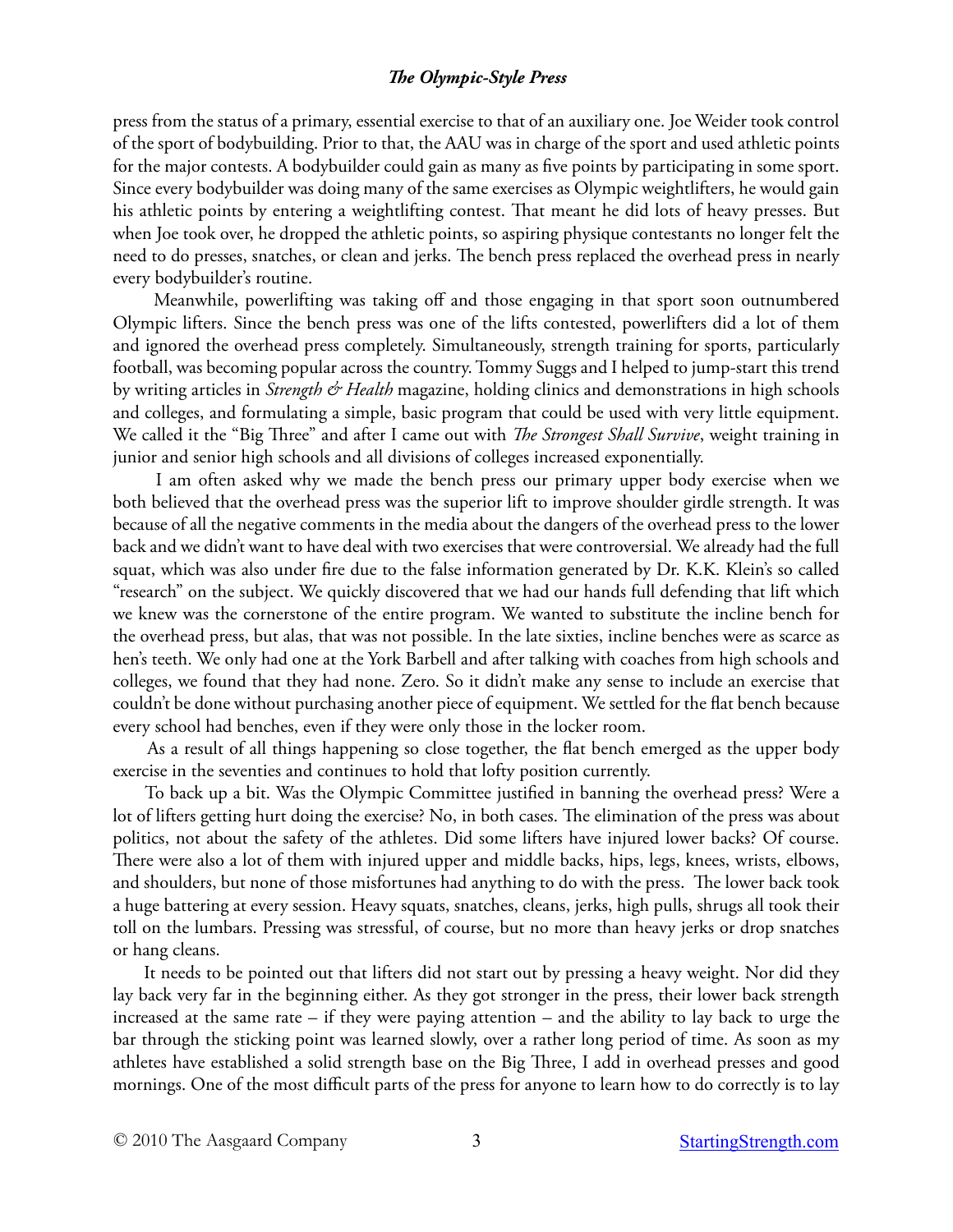press from the status of a primary, essential exercise to that of an auxiliary one. Joe Weider took control of the sport of bodybuilding. Prior to that, the AAU was in charge of the sport and used athletic points for the major contests. A bodybuilder could gain as many as five points by participating in some sport. Since every bodybuilder was doing many of the same exercises as Olympic weightlifters, he would gain his athletic points by entering a weightlifting contest. That meant he did lots of heavy presses. But when Joe took over, he dropped the athletic points, so aspiring physique contestants no longer felt the need to do presses, snatches, or clean and jerks. The bench press replaced the overhead press in nearly every bodybuilder's routine.

 Meanwhile, powerlifting was taking off and those engaging in that sport soon outnumbered Olympic lifters. Since the bench press was one of the lifts contested, powerlifters did a lot of them and ignored the overhead press completely. Simultaneously, strength training for sports, particularly football, was becoming popular across the country. Tommy Suggs and I helped to jump-start this trend by writing articles in *Strength & Health* magazine, holding clinics and demonstrations in high schools and colleges, and formulating a simple, basic program that could be used with very little equipment. We called it the "Big Three" and after I came out with *The Strongest Shall Survive*, weight training in junior and senior high schools and all divisions of colleges increased exponentially.

 I am often asked why we made the bench press our primary upper body exercise when we both believed that the overhead press was the superior lift to improve shoulder girdle strength. It was because of all the negative comments in the media about the dangers of the overhead press to the lower back and we didn't want to have deal with two exercises that were controversial. We already had the full squat, which was also under fire due to the false information generated by Dr. K.K. Klein's so called "research" on the subject. We quickly discovered that we had our hands full defending that lift which we knew was the cornerstone of the entire program. We wanted to substitute the incline bench for the overhead press, but alas, that was not possible. In the late sixties, incline benches were as scarce as hen's teeth. We only had one at the York Barbell and after talking with coaches from high schools and colleges, we found that they had none. Zero. So it didn't make any sense to include an exercise that couldn't be done without purchasing another piece of equipment. We settled for the flat bench because every school had benches, even if they were only those in the locker room.

 As a result of all things happening so close together, the flat bench emerged as the upper body exercise in the seventies and continues to hold that lofty position currently.

 To back up a bit. Was the Olympic Committee justified in banning the overhead press? Were a lot of lifters getting hurt doing the exercise? No, in both cases. The elimination of the press was about politics, not about the safety of the athletes. Did some lifters have injured lower backs? Of course. There were also a lot of them with injured upper and middle backs, hips, legs, knees, wrists, elbows, and shoulders, but none of those misfortunes had anything to do with the press. The lower back took a huge battering at every session. Heavy squats, snatches, cleans, jerks, high pulls, shrugs all took their toll on the lumbars. Pressing was stressful, of course, but no more than heavy jerks or drop snatches or hang cleans.

 It needs to be pointed out that lifters did not start out by pressing a heavy weight. Nor did they lay back very far in the beginning either. As they got stronger in the press, their lower back strength increased at the same rate – if they were paying attention – and the ability to lay back to urge the bar through the sticking point was learned slowly, over a rather long period of time. As soon as my athletes have established a solid strength base on the Big Three, I add in overhead presses and good mornings. One of the most difficult parts of the press for anyone to learn how to do correctly is to lay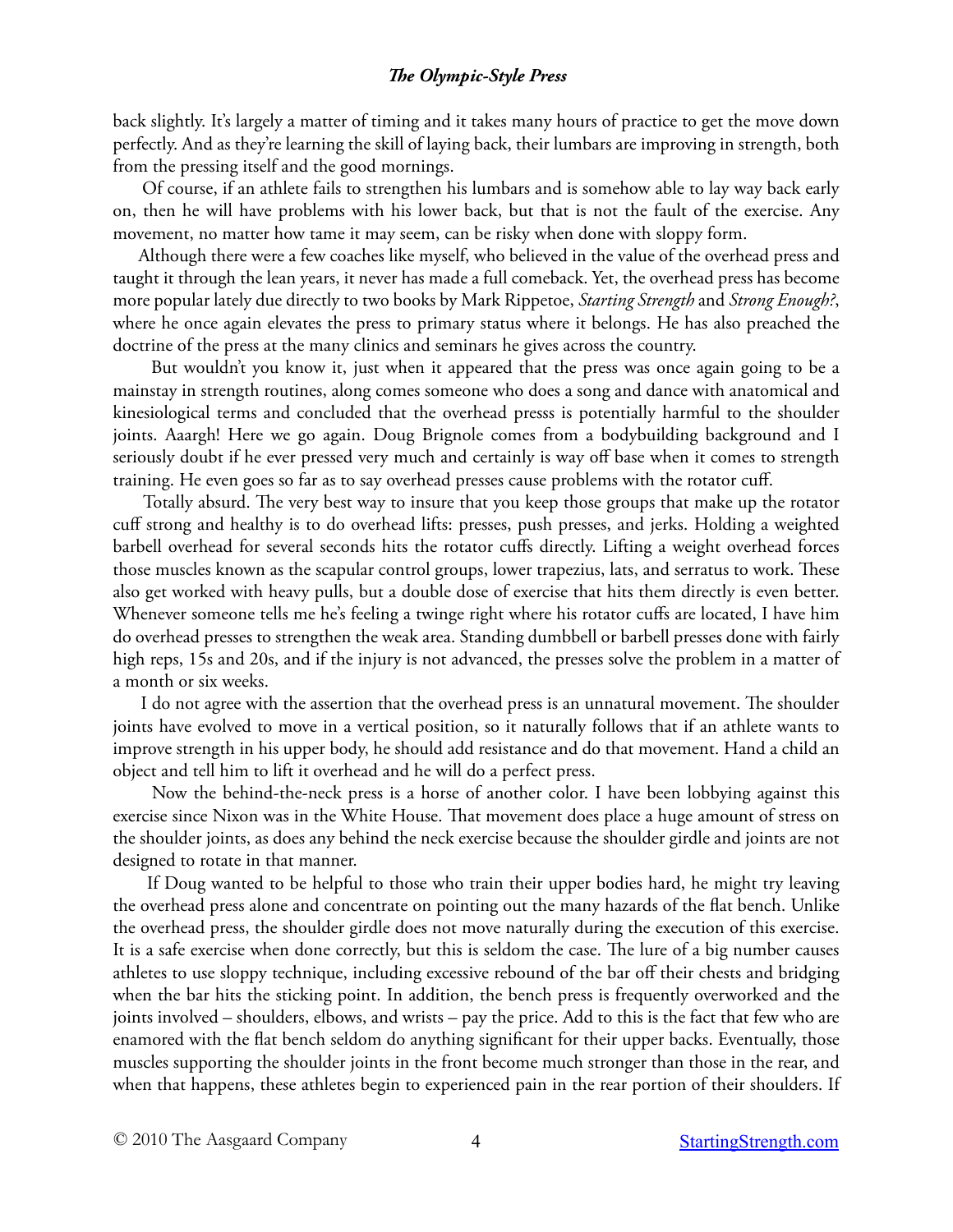back slightly. It's largely a matter of timing and it takes many hours of practice to get the move down perfectly. And as they're learning the skill of laying back, their lumbars are improving in strength, both from the pressing itself and the good mornings.

 Of course, if an athlete fails to strengthen his lumbars and is somehow able to lay way back early on, then he will have problems with his lower back, but that is not the fault of the exercise. Any movement, no matter how tame it may seem, can be risky when done with sloppy form.

 Although there were a few coaches like myself, who believed in the value of the overhead press and taught it through the lean years, it never has made a full comeback. Yet, the overhead press has become more popular lately due directly to two books by Mark Rippetoe, *Starting Strength* and *Strong Enough?*, where he once again elevates the press to primary status where it belongs. He has also preached the doctrine of the press at the many clinics and seminars he gives across the country.

 But wouldn't you know it, just when it appeared that the press was once again going to be a mainstay in strength routines, along comes someone who does a song and dance with anatomical and kinesiological terms and concluded that the overhead presss is potentially harmful to the shoulder joints. Aaargh! Here we go again. Doug Brignole comes from a bodybuilding background and I seriously doubt if he ever pressed very much and certainly is way off base when it comes to strength training. He even goes so far as to say overhead presses cause problems with the rotator cuff.

 Totally absurd. The very best way to insure that you keep those groups that make up the rotator cuff strong and healthy is to do overhead lifts: presses, push presses, and jerks. Holding a weighted barbell overhead for several seconds hits the rotator cuffs directly. Lifting a weight overhead forces those muscles known as the scapular control groups, lower trapezius, lats, and serratus to work. These also get worked with heavy pulls, but a double dose of exercise that hits them directly is even better. Whenever someone tells me he's feeling a twinge right where his rotator cuffs are located, I have him do overhead presses to strengthen the weak area. Standing dumbbell or barbell presses done with fairly high reps, 15s and 20s, and if the injury is not advanced, the presses solve the problem in a matter of a month or six weeks.

 I do not agree with the assertion that the overhead press is an unnatural movement. The shoulder joints have evolved to move in a vertical position, so it naturally follows that if an athlete wants to improve strength in his upper body, he should add resistance and do that movement. Hand a child an object and tell him to lift it overhead and he will do a perfect press.

 Now the behind-the-neck press is a horse of another color. I have been lobbying against this exercise since Nixon was in the White House. That movement does place a huge amount of stress on the shoulder joints, as does any behind the neck exercise because the shoulder girdle and joints are not designed to rotate in that manner.

 If Doug wanted to be helpful to those who train their upper bodies hard, he might try leaving the overhead press alone and concentrate on pointing out the many hazards of the flat bench. Unlike the overhead press, the shoulder girdle does not move naturally during the execution of this exercise. It is a safe exercise when done correctly, but this is seldom the case. The lure of a big number causes athletes to use sloppy technique, including excessive rebound of the bar off their chests and bridging when the bar hits the sticking point. In addition, the bench press is frequently overworked and the joints involved – shoulders, elbows, and wrists – pay the price. Add to this is the fact that few who are enamored with the flat bench seldom do anything significant for their upper backs. Eventually, those muscles supporting the shoulder joints in the front become much stronger than those in the rear, and when that happens, these athletes begin to experienced pain in the rear portion of their shoulders. If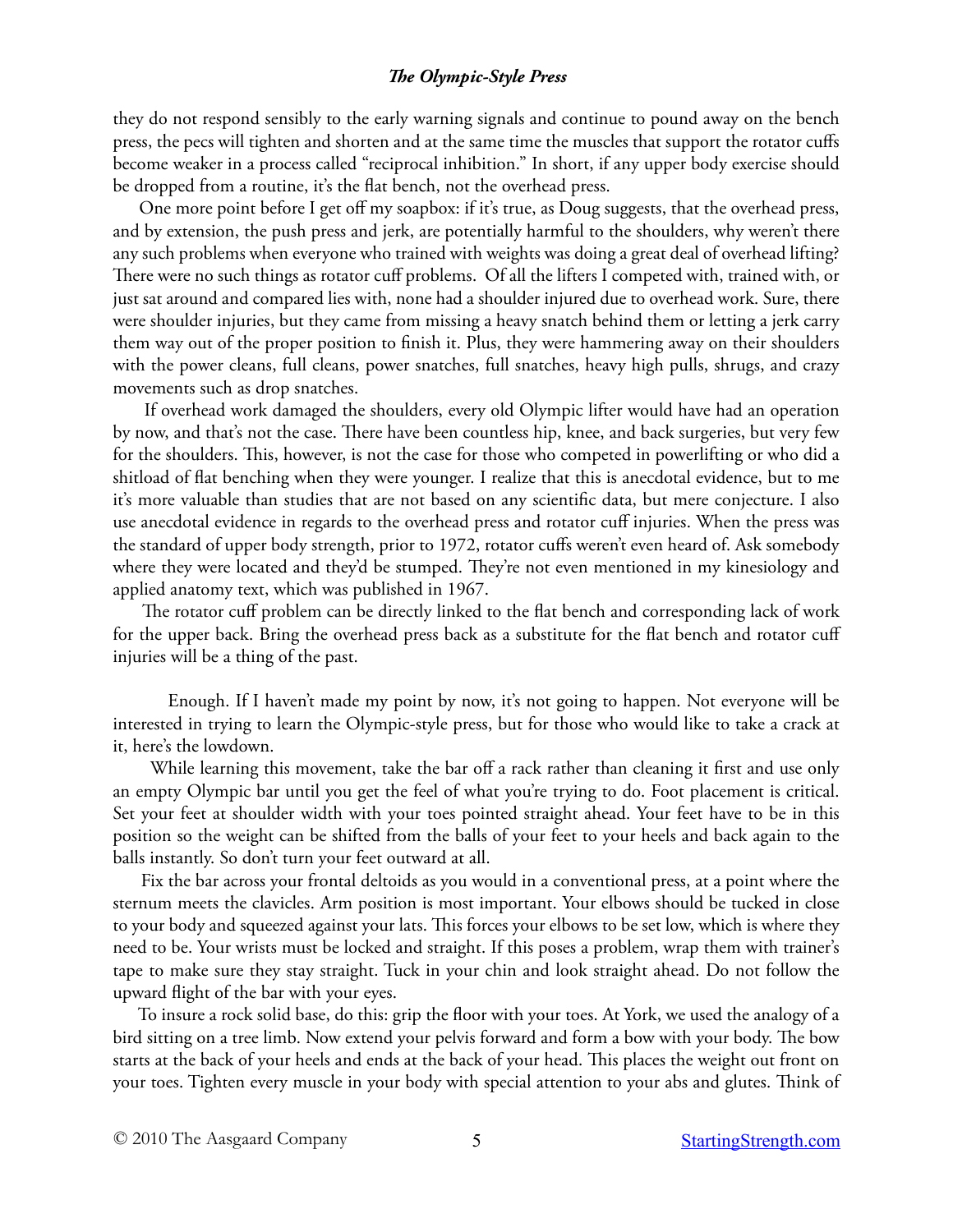they do not respond sensibly to the early warning signals and continue to pound away on the bench press, the pecs will tighten and shorten and at the same time the muscles that support the rotator cuffs become weaker in a process called "reciprocal inhibition." In short, if any upper body exercise should be dropped from a routine, it's the flat bench, not the overhead press.

 One more point before I get off my soapbox: if it's true, as Doug suggests, that the overhead press, and by extension, the push press and jerk, are potentially harmful to the shoulders, why weren't there any such problems when everyone who trained with weights was doing a great deal of overhead lifting? There were no such things as rotator cuff problems. Of all the lifters I competed with, trained with, or just sat around and compared lies with, none had a shoulder injured due to overhead work. Sure, there were shoulder injuries, but they came from missing a heavy snatch behind them or letting a jerk carry them way out of the proper position to finish it. Plus, they were hammering away on their shoulders with the power cleans, full cleans, power snatches, full snatches, heavy high pulls, shrugs, and crazy movements such as drop snatches.

 If overhead work damaged the shoulders, every old Olympic lifter would have had an operation by now, and that's not the case. There have been countless hip, knee, and back surgeries, but very few for the shoulders. This, however, is not the case for those who competed in powerlifting or who did a shitload of flat benching when they were younger. I realize that this is anecdotal evidence, but to me it's more valuable than studies that are not based on any scientific data, but mere conjecture. I also use anecdotal evidence in regards to the overhead press and rotator cuff injuries. When the press was the standard of upper body strength, prior to 1972, rotator cuffs weren't even heard of. Ask somebody where they were located and they'd be stumped. They're not even mentioned in my kinesiology and applied anatomy text, which was published in 1967.

 The rotator cuff problem can be directly linked to the flat bench and corresponding lack of work for the upper back. Bring the overhead press back as a substitute for the flat bench and rotator cuff injuries will be a thing of the past.

Enough. If I haven't made my point by now, it's not going to happen. Not everyone will be interested in trying to learn the Olympic-style press, but for those who would like to take a crack at it, here's the lowdown.

 While learning this movement, take the bar off a rack rather than cleaning it first and use only an empty Olympic bar until you get the feel of what you're trying to do. Foot placement is critical. Set your feet at shoulder width with your toes pointed straight ahead. Your feet have to be in this position so the weight can be shifted from the balls of your feet to your heels and back again to the balls instantly. So don't turn your feet outward at all.

 Fix the bar across your frontal deltoids as you would in a conventional press, at a point where the sternum meets the clavicles. Arm position is most important. Your elbows should be tucked in close to your body and squeezed against your lats. This forces your elbows to be set low, which is where they need to be. Your wrists must be locked and straight. If this poses a problem, wrap them with trainer's tape to make sure they stay straight. Tuck in your chin and look straight ahead. Do not follow the upward flight of the bar with your eyes.

 To insure a rock solid base, do this: grip the floor with your toes. At York, we used the analogy of a bird sitting on a tree limb. Now extend your pelvis forward and form a bow with your body. The bow starts at the back of your heels and ends at the back of your head. This places the weight out front on your toes. Tighten every muscle in your body with special attention to your abs and glutes. Think of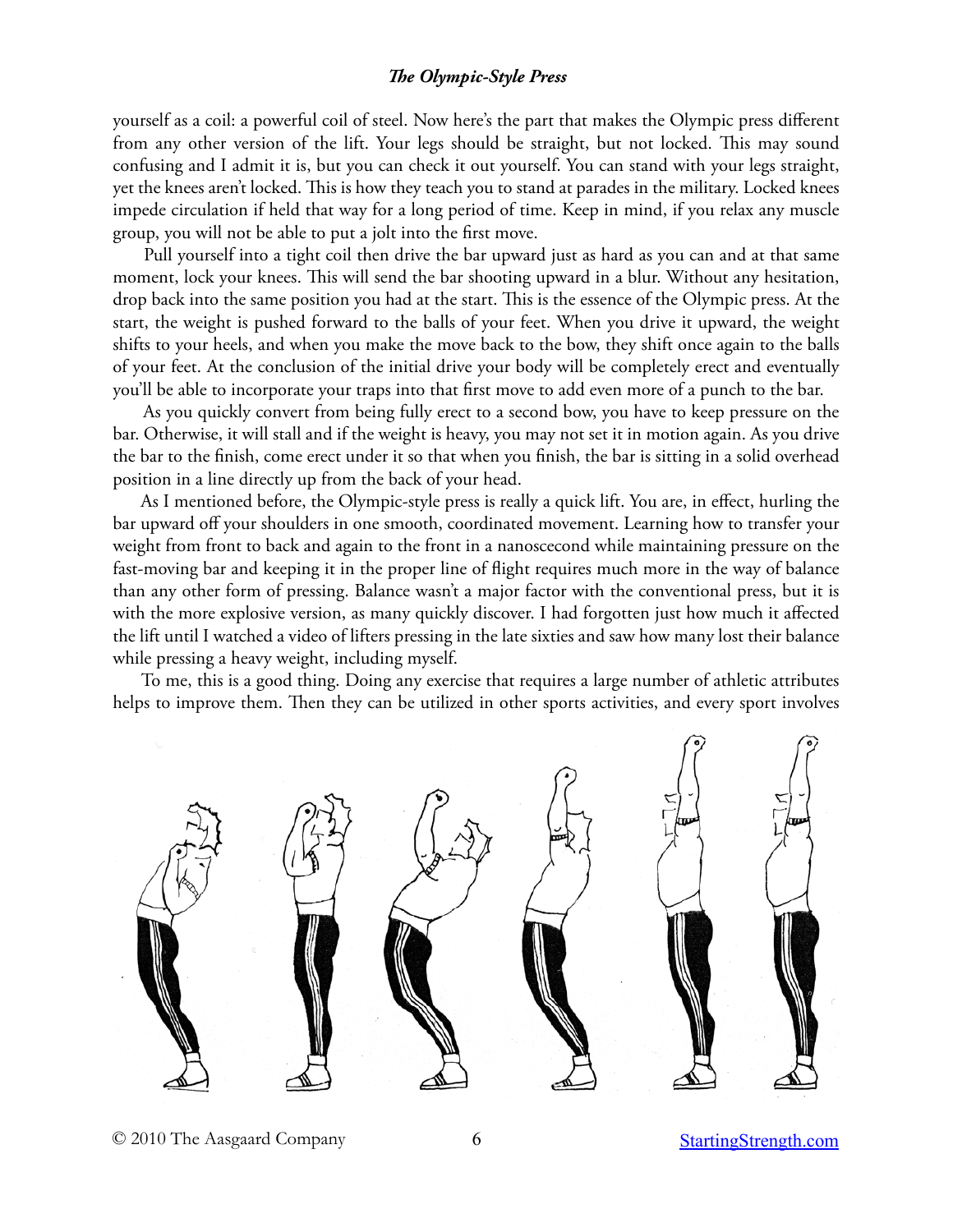yourself as a coil: a powerful coil of steel. Now here's the part that makes the Olympic press different from any other version of the lift. Your legs should be straight, but not locked. This may sound confusing and I admit it is, but you can check it out yourself. You can stand with your legs straight, yet the knees aren't locked. This is how they teach you to stand at parades in the military. Locked knees impede circulation if held that way for a long period of time. Keep in mind, if you relax any muscle group, you will not be able to put a jolt into the first move.

 Pull yourself into a tight coil then drive the bar upward just as hard as you can and at that same moment, lock your knees. This will send the bar shooting upward in a blur. Without any hesitation, drop back into the same position you had at the start. This is the essence of the Olympic press. At the start, the weight is pushed forward to the balls of your feet. When you drive it upward, the weight shifts to your heels, and when you make the move back to the bow, they shift once again to the balls of your feet. At the conclusion of the initial drive your body will be completely erect and eventually you'll be able to incorporate your traps into that first move to add even more of a punch to the bar.

 As you quickly convert from being fully erect to a second bow, you have to keep pressure on the bar. Otherwise, it will stall and if the weight is heavy, you may not set it in motion again. As you drive the bar to the finish, come erect under it so that when you finish, the bar is sitting in a solid overhead position in a line directly up from the back of your head.

 As I mentioned before, the Olympic-style press is really a quick lift. You are, in effect, hurling the bar upward off your shoulders in one smooth, coordinated movement. Learning how to transfer your weight from front to back and again to the front in a nanoscecond while maintaining pressure on the fast-moving bar and keeping it in the proper line of flight requires much more in the way of balance than any other form of pressing. Balance wasn't a major factor with the conventional press, but it is with the more explosive version, as many quickly discover. I had forgotten just how much it affected the lift until I watched a video of lifters pressing in the late sixties and saw how many lost their balance while pressing a heavy weight, including myself.

 To me, this is a good thing. Doing any exercise that requires a large number of athletic attributes helps to improve them. Then they can be utilized in other sports activities, and every sport involves



© 2010 The Aasgaard Company 6 6 [StartingStrength.com](http://StartingStrength.com)